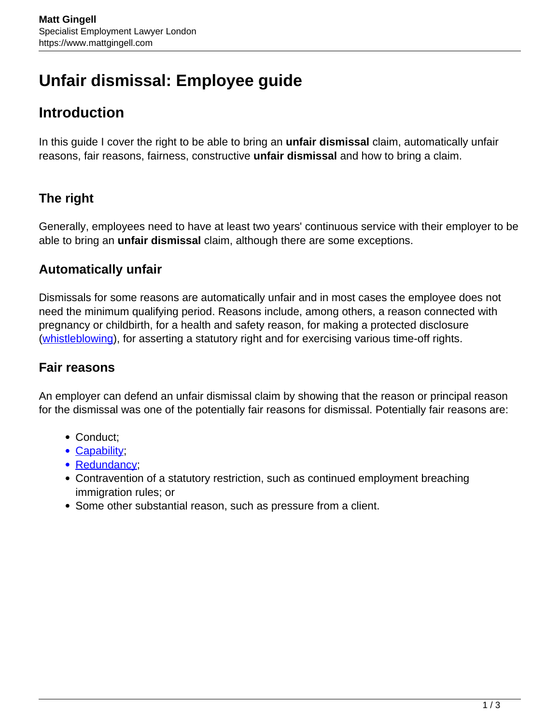# **Unfair dismissal: Employee guide**

## **Introduction**

In this guide I cover the right to be able to bring an **unfair dismissal** claim, automatically unfair reasons, fair reasons, fairness, constructive **unfair dismissal** and how to bring a claim.

### **The right**

Generally, employees need to have at least two years' continuous service with their employer to be able to bring an **unfair dismissal** claim, although there are some exceptions.

#### **Automatically unfair**

Dismissals for some reasons are automatically unfair and in most cases the employee does not need the minimum qualifying period. Reasons include, among others, a reason connected with pregnancy or childbirth, for a health and safety reason, for making a protected disclosure ([whistleblowing\)](https://www.mattgingell.com/whistleblowing/), for asserting a statutory right and for exercising various time-off rights.

#### **Fair reasons**

An employer can defend an unfair dismissal claim by showing that the reason or principal reason for the dismissal was one of the potentially fair reasons for dismissal. Potentially fair reasons are:

- Conduct:
- [Capability](https://www.mattgingell.com/managing-performance/):
- Redundancy:
- Contravention of a statutory restriction, such as continued employment breaching immigration rules; or
- Some other substantial reason, such as pressure from a client.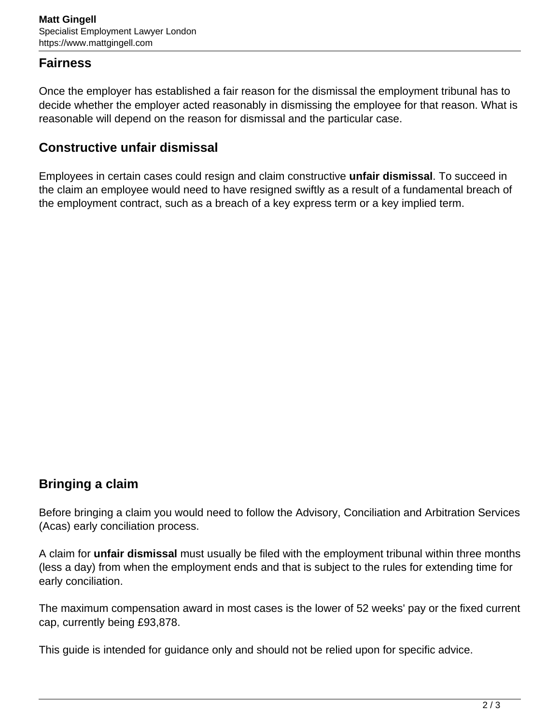#### **Fairness**

Once the employer has established a fair reason for the dismissal the employment tribunal has to decide whether the employer acted reasonably in dismissing the employee for that reason. What is reasonable will depend on the reason for dismissal and the particular case.

#### **Constructive unfair dismissal**

Employees in certain cases could resign and claim constructive **unfair dismissal**. To succeed in the claim an employee would need to have resigned swiftly as a result of a fundamental breach of the employment contract, such as a breach of a key express term or a key implied term.

#### **Bringing a claim**

Before bringing a claim you would need to follow the Advisory, Conciliation and Arbitration Services (Acas) early conciliation process.

A claim for **unfair dismissal** must usually be filed with the employment tribunal within three months (less a day) from when the employment ends and that is subject to the rules for extending time for early conciliation.

The maximum compensation award in most cases is the lower of 52 weeks' pay or the fixed current cap, currently being £93,878.

This guide is intended for guidance only and should not be relied upon for specific advice.